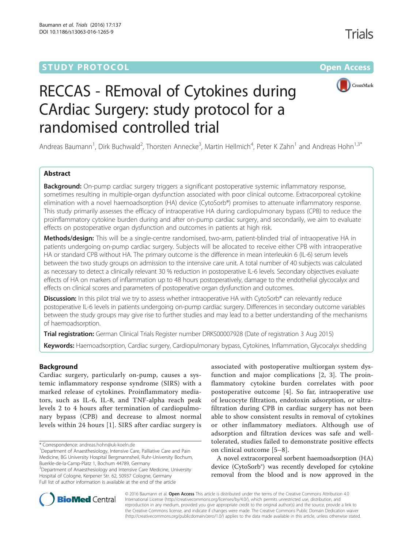## **STUDY PROTOCOL CONSUMING THE RESERVE ACCESS**



# RECCAS - REmoval of Cytokines during CArdiac Surgery: study protocol for a randomised controlled trial

Andreas Baumann<sup>1</sup>, Dirk Buchwald<sup>2</sup>, Thorsten Annecke<sup>3</sup>, Martin Hellmich<sup>4</sup>, Peter K Zahn<sup>1</sup> and Andreas Hohn<sup>1,3\*</sup>

#### Abstract

**Background:** On-pump cardiac surgery triggers a significant postoperative systemic inflammatory response, sometimes resulting in multiple-organ dysfunction associated with poor clinical outcome. Extracorporeal cytokine elimination with a novel haemoadsorption (HA) device (CytoSorb®) promises to attenuate inflammatory response. This study primarily assesses the efficacy of intraoperative HA during cardiopulmonary bypass (CPB) to reduce the proinflammatory cytokine burden during and after on-pump cardiac surgery, and secondarily, we aim to evaluate effects on postoperative organ dysfunction and outcomes in patients at high risk.

Methods/design: This will be a single-centre randomised, two-arm, patient-blinded trial of intraoperative HA in patients undergoing on-pump cardiac surgery. Subjects will be allocated to receive either CPB with intraoperative HA or standard CPB without HA. The primary outcome is the difference in mean interleukin 6 (IL-6) serum levels between the two study groups on admission to the intensive care unit. A total number of 40 subjects was calculated as necessary to detect a clinically relevant 30 % reduction in postoperative IL-6 levels. Secondary objectives evaluate effects of HA on markers of inflammation up to 48 hours postoperatively, damage to the endothelial glycocalyx and effects on clinical scores and parameters of postoperative organ dysfunction and outcomes.

Discussion: In this pilot trial we try to assess whether intraoperative HA with CytoSorb® can relevantly reduce postoperative IL-6 levels in patients undergoing on-pump cardiac surgery. Differences in secondary outcome variables between the study groups may give rise to further studies and may lead to a better understanding of the mechanisms of haemoadsorption.

**Trial registration:** German Clinical Trials Register number [DRKS00007928](https://drks-neu.uniklinik-freiburg.de/drks_web/navigate.do?navigationId=resultsExt) (Date of registration 3 Aug 2015)

Keywords: Haemoadsorption, Cardiac surgery, Cardiopulmonary bypass, Cytokines, Inflammation, Glycocalyx shedding

#### Background

Cardiac surgery, particularly on-pump, causes a systemic inflammatory response syndrome (SIRS) with a marked release of cytokines. Proinflammatory mediators, such as IL-6, IL-8, and TNF-alpha reach peak levels 2 to 4 hours after termination of cardiopulmonary bypass (CPB) and decrease to almost normal levels within 24 hours [[1\]](#page-7-0). SIRS after cardiac surgery is

<sup>3</sup>Department of Anaesthesiology and Intensive Care Medicine, University Hospital of Cologne, Kerpener Str. 62, 50937 Cologne, Germany Full list of author information is available at the end of the article

associated with postoperative multiorgan system dysfunction and major complications [[2, 3](#page-7-0)]. The proinflammatory cytokine burden correlates with poor postoperative outcome [[4](#page-7-0)]. So far, intraoperative use of leucocyte filtration, endotoxin adsorption, or ultrafiltration during CPB in cardiac surgery has not been able to show consistent results in removal of cytokines or other inflammatory mediators. Although use of adsorption and filtration devices was safe and welltolerated, studies failed to demonstrate positive effects on clinical outcome [[5](#page-7-0)–[8\]](#page-7-0).

A novel extracorporeal sorbent haemoadsorption (HA) device (CytoSorb®) was recently developed for cytokine removal from the blood and is now approved in the



© 2016 Baumann et al. Open Access This article is distributed under the terms of the Creative Commons Attribution 4.0 International License [\(http://creativecommons.org/licenses/by/4.0/](http://creativecommons.org/licenses/by/4.0/)), which permits unrestricted use, distribution, and reproduction in any medium, provided you give appropriate credit to the original author(s) and the source, provide a link to the Creative Commons license, and indicate if changes were made. The Creative Commons Public Domain Dedication waiver [\(http://creativecommons.org/publicdomain/zero/1.0/](http://creativecommons.org/publicdomain/zero/1.0/)) applies to the data made available in this article, unless otherwise stated.

<sup>\*</sup> Correspondence: [andreas.hohn@uk-koeln.de](mailto:andreas.hohn@uk-koeln.de) <sup>1</sup>

<sup>&</sup>lt;sup>1</sup>Department of Anaesthesiology, Intensive Care, Palliative Care and Pain Medicine, BG University Hospital Bergmannsheil, Ruhr-University Bochum, Buerkle-de-la-Camp-Platz 1, Bochum 44789, Germany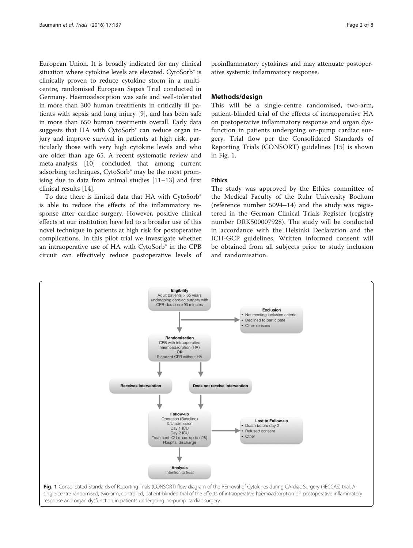European Union. It is broadly indicated for any clinical situation where cytokine levels are elevated. CytoSorb® is clinically proven to reduce cytokine storm in a multicentre, randomised European Sepsis Trial conducted in Germany. Haemoadsorption was safe and well-tolerated in more than 300 human treatments in critically ill patients with sepsis and lung injury [\[9](#page-7-0)], and has been safe in more than 650 human treatments overall. Early data suggests that HA with CytoSorb® can reduce organ injury and improve survival in patients at high risk, particularly those with very high cytokine levels and who are older than age 65. A recent systematic review and meta-analysis [\[10\]](#page-7-0) concluded that among current adsorbing techniques, CytoSorb® may be the most promising due to data from animal studies [[11](#page-7-0)–[13](#page-7-0)] and first clinical results [\[14](#page-7-0)].

To date there is limited data that HA with CytoSorb® is able to reduce the effects of the inflammatory response after cardiac surgery. However, positive clinical effects at our institution have led to a broader use of this novel technique in patients at high risk for postoperative complications. In this pilot trial we investigate whether an intraoperative use of HA with CytoSorb® in the CPB circuit can effectively reduce postoperative levels of

proinflammatory cytokines and may attenuate postoperative systemic inflammatory response.

#### Methods/design

This will be a single-centre randomised, two-arm, patient-blinded trial of the effects of intraoperative HA on postoperative inflammatory response and organ dysfunction in patients undergoing on-pump cardiac surgery. Trial flow per the Consolidated Standards of Reporting Trials (CONSORT) guidelines [\[15](#page-7-0)] is shown in Fig. 1.

#### **Ethics**

The study was approved by the Ethics committee of the Medical Faculty of the Ruhr University Bochum (reference number 5094–14) and the study was registered in the German Clinical Trials Register (registry number DRKS00007928). The study will be conducted in accordance with the Helsinki Declaration and the ICH-GCP guidelines. Written informed consent will be obtained from all subjects prior to study inclusion and randomisation.

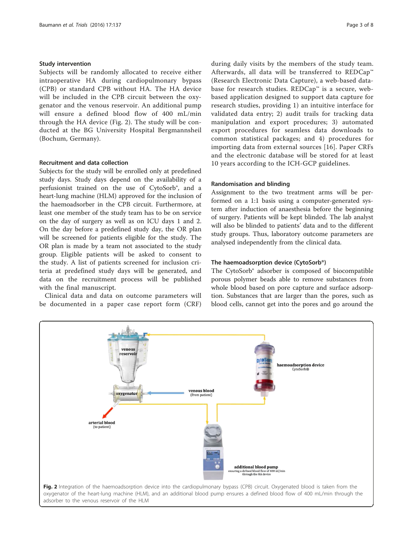#### Study intervention

Subjects will be randomly allocated to receive either intraoperative HA during cardiopulmonary bypass (CPB) or standard CPB without HA. The HA device will be included in the CPB circuit between the oxygenator and the venous reservoir. An additional pump will ensure a defined blood flow of 400 mL/min through the HA device (Fig. 2). The study will be conducted at the BG University Hospital Bergmannsheil (Bochum, Germany).

#### Recruitment and data collection

Subjects for the study will be enrolled only at predefined study days. Study days depend on the availability of a perfusionist trained on the use of CytoSorb®, and a heart-lung machine (HLM) approved for the inclusion of the haemoadsorber in the CPB circuit. Furthermore, at least one member of the study team has to be on service on the day of surgery as well as on ICU days 1 and 2. On the day before a predefined study day, the OR plan will be screened for patients eligible for the study. The OR plan is made by a team not associated to the study group. Eligible patients will be asked to consent to the study. A list of patients screened for inclusion criteria at predefined study days will be generated, and data on the recruitment process will be published with the final manuscript.

Clinical data and data on outcome parameters will be documented in a paper case report form (CRF) during daily visits by the members of the study team. Afterwards, all data will be transferred to REDCap™ (Research Electronic Data Capture), a web-based database for research studies. REDCap™ is a secure, webbased application designed to support data capture for research studies, providing 1) an intuitive interface for validated data entry; 2) audit trails for tracking data manipulation and export procedures; 3) automated export procedures for seamless data downloads to common statistical packages; and 4) procedures for importing data from external sources [\[16\]](#page-7-0). Paper CRFs and the electronic database will be stored for at least 10 years according to the ICH-GCP guidelines.

#### Randomisation and blinding

Assignment to the two treatment arms will be performed on a 1:1 basis using a computer-generated system after induction of anaesthesia before the beginning of surgery. Patients will be kept blinded. The lab analyst will also be blinded to patients' data and to the different study groups. Thus, laboratory outcome parameters are analysed independently from the clinical data.

#### The haemoadsorption device (CytoSorb®)

The CytoSorb® adsorber is composed of biocompatible porous polymer beads able to remove substances from whole blood based on pore capture and surface adsorption. Substances that are larger than the pores, such as blood cells, cannot get into the pores and go around the

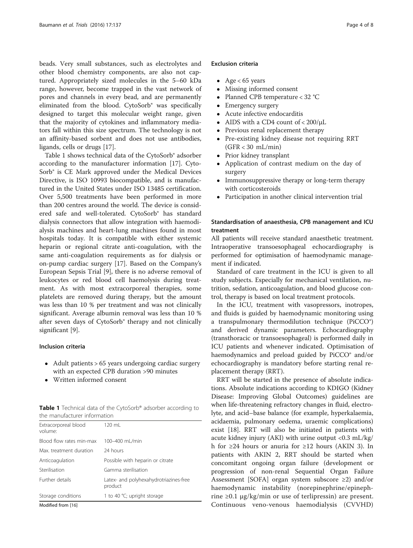beads. Very small substances, such as electrolytes and other blood chemistry components, are also not captured. Appropriately sized molecules in the 5–60 kDa range, however, become trapped in the vast network of pores and channels in every bead, and are permanently eliminated from the blood. CytoSorb® was specifically designed to target this molecular weight range, given that the majority of cytokines and inflammatory mediators fall within this size spectrum. The technology is not an affinity-based sorbent and does not use antibodies, ligands, cells or drugs [[17\]](#page-7-0).

Table 1 shows technical data of the CytoSorb® adsorber according to the manufacturer information [[17\]](#page-7-0). Cyto-Sorb® is CE Mark approved under the Medical Devices Directive, is ISO 10993 biocompatible, and is manufactured in the United States under ISO 13485 certification. Over 5,500 treatments have been performed in more than 200 centres around the world. The device is considered safe and well-tolerated. CytoSorb® has standard dialysis connectors that allow integration with haemodialysis machines and heart-lung machines found in most hospitals today. It is compatible with either systemic heparin or regional citrate anti-coagulation, with the same anti-coagulation requirements as for dialysis or on-pump cardiac surgery [\[17](#page-7-0)]. Based on the Company's European Sepsis Trial [[9](#page-7-0)], there is no adverse removal of leukocytes or red blood cell haemolysis during treatment. As with most extracorporeal therapies, some platelets are removed during therapy, but the amount was less than 10 % per treatment and was not clinically significant. Average albumin removal was less than 10 % after seven days of CytoSorb® therapy and not clinically significant [[9\]](#page-7-0).

#### Inclusion criteria

- Adult patients > 65 years undergoing cardiac surgery with an expected CPB duration >90 minutes
- Written informed consent

Table 1 Technical data of the CytoSorb® adsorber according to the manufacturer information

| Modified from [16]              |                                                   |
|---------------------------------|---------------------------------------------------|
| Storage conditions              | 1 to 40 °C; upright storage                       |
| Further details                 | Latex- and polyhexahydrotriazines-free<br>product |
| Sterilisation                   | Gamma sterilisation                               |
| Anticoagulation                 | Possible with heparin or citrate                  |
| Max. treatment duration         | 24 hours                                          |
| Blood flow rates min-max        | 100-400 ml /min                                   |
| Extracorporeal blood<br>volume: | 120 mL                                            |

lodified from [[16](#page-7-0)]

#### Exclusion criteria

- Age  $< 65$  years
- Missing informed consent
- Planned CPB temperature < 32 °C
- Emergency surgery<br>• Acute infective end
- Acute infective endocarditis
- AIDS with a CD4 count of < 200/μL
- Previous renal replacement therapy
- Pre-existing kidney disease not requiring RRT (GFR < 30 mL/min)
- Prior kidney transplant
- Application of contrast medium on the day of surgery
- Immunosuppressive therapy or long-term therapy with corticosteroids
- Participation in another clinical intervention trial

#### Standardisation of anaesthesia, CPB management and ICU treatment

All patients will receive standard anaesthetic treatment. Intraoperative transoesophageal echocardiography is performed for optimisation of haemodynamic management if indicated.

Standard of care treatment in the ICU is given to all study subjects. Especially for mechanical ventilation, nutrition, sedation, anticoagulation, and blood glucose control, therapy is based on local treatment protocols.

In the ICU, treatment with vasopressors, inotropes, and fluids is guided by haemodynamic monitoring using a transpulmonary thermodilution technique (PiCCO®) and derived dynamic parameters. Echocardiography (transthoracic or transoesophageal) is performed daily in ICU patients and whenever indicated. Optimisation of haemodynamics and preload guided by PiCCO<sup>®</sup> and/or echocardiography is mandatory before starting renal replacement therapy (RRT).

RRT will be started in the presence of absolute indications. Absolute indications according to KDIGO (Kidney Disease: Improving Global Outcomes) guidelines are when life-threatening refractory changes in fluid, electrolyte, and acid–base balance (for example, hyperkalaemia, acidaemia, pulmonary oedema, uraemic complications) exist [[18\]](#page-7-0). RRT will also be initiated in patients with acute kidney injury (AKI) with urine output <0.3 mL/kg/ h for ≥24 hours or anuria for ≥12 hours (AKIN 3). In patients with AKIN 2, RRT should be started when concomitant ongoing organ failure (development or progression of non-renal Sequential Organ Failure Assessment [SOFA] organ system subscore ≥2) and/or haemodynamic instability (norepinephrine/epinephrine ≥0.1  $\mu$ g/kg/min or use of terlipressin) are present. Continuous veno-venous haemodialysis (CVVHD)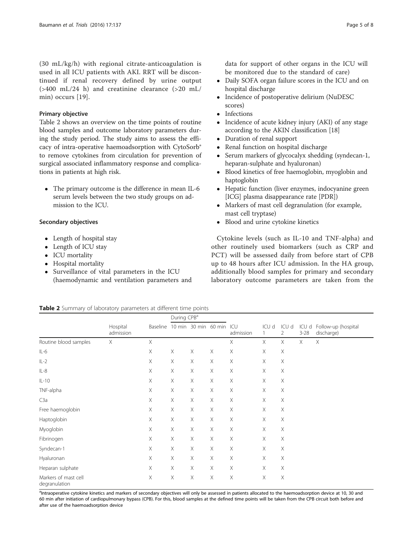<span id="page-4-0"></span>(30 mL/kg/h) with regional citrate-anticoagulation is used in all ICU patients with AKI. RRT will be discontinued if renal recovery defined by urine output  $(>400 \text{ mL}/24 \text{ h})$  and creatinine clearance  $(>20 \text{ mL}/100)$ min) occurs [[19](#page-7-0)].

#### Primary objective

Table 2 shows an overview on the time points of routine blood samples and outcome laboratory parameters during the study period. The study aims to assess the efficacy of intra-operative haemoadsorption with CytoSorb® to remove cytokines from circulation for prevention of surgical associated inflammatory response and complications in patients at high risk.

• The primary outcome is the difference in mean IL-6 serum levels between the two study groups on admission to the ICU.

#### Secondary objectives

- Length of hospital stay
- Length of ICU stay
- ICU mortality
- Hospital mortality
- Surveillance of vital parameters in the ICU (haemodynamic and ventilation parameters and
- Daily SOFA organ failure scores in the ICU and on hospital discharge
- Incidence of postoperative delirium (NuDESC scores)
- Infections
- Incidence of acute kidney injury (AKI) of any stage according to the AKIN classification [18]
- Duration of renal support<br>• Renal function on hospital
- Renal function on hospital discharge<br>• Serum markers of glycocalyx sheddir
- Serum markers of glycocalyx shedding (syndecan-1, heparan-sulphate and hyaluronan)
- Blood kinetics of free haemoglobin, myoglobin and haptoglobin
- Hepatic function (liver enzymes, indocyanine green [ICG] plasma disappearance rate [PDR])
- Markers of mast cell degranulation (for example, mast cell tryptase)
- Blood and urine cytokine kinetics

Cytokine levels (such as IL-10 and TNF-alpha) and other routinely used biomarkers (such as CRP and PCT) will be assessed daily from before start of CPB up to 48 hours after ICU admission. In the HA group, additionally blood samples for primary and secondary laboratory outcome parameters are taken from the

|  |  |  | Table 2 Summary of laboratory parameters at different time points |  |  |  |
|--|--|--|-------------------------------------------------------------------|--|--|--|
|--|--|--|-------------------------------------------------------------------|--|--|--|

|                                       | Hospital<br>admission | Baseline | During CPB <sup>a</sup> |                      |                           |                       |            |            |                   |                                   |
|---------------------------------------|-----------------------|----------|-------------------------|----------------------|---------------------------|-----------------------|------------|------------|-------------------|-----------------------------------|
|                                       |                       |          |                         | 10 min 30 min 60 min |                           | ICU<br>admission      | ICU d<br>1 | ICU d<br>2 | ICU d<br>$3 - 28$ | Follow-up (hospital<br>discharge) |
| Routine blood samples                 | $\times$              | Χ        |                         |                      |                           | X.                    | X          | X          | X                 | $\times$                          |
| $IL-6$                                |                       | Χ        | Χ                       | Χ                    | Χ                         | Χ                     | X          | Χ          |                   |                                   |
| $IL-2$                                |                       | X        | $\times$                | Χ                    | $\times$                  | $\times$              | X          | Χ          |                   |                                   |
| $IL-8$                                |                       | X        | X                       | X                    | $\times$                  | X                     | X          | Χ          |                   |                                   |
| $IL-10$                               |                       | X        | X                       | Χ                    | X                         | Χ                     | X          | Χ          |                   |                                   |
| TNF-alpha                             |                       | Χ        | X                       | Χ                    | Χ                         | Χ                     | X          | Χ          |                   |                                   |
| C3a                                   |                       | X        | X                       | Χ                    | $\boldsymbol{\mathsf{X}}$ | X                     | X          | Χ          |                   |                                   |
| Free haemoglobin                      |                       | Χ        | Χ                       | Χ                    | $\boldsymbol{\mathsf{X}}$ | Χ                     | X          | Χ          |                   |                                   |
| Haptoglobin                           |                       | X        | X                       | Χ                    | Χ                         | $\boldsymbol{\times}$ | X          | Χ          |                   |                                   |
| Myoglobin                             |                       | X        | X                       | X                    | $\times$                  | X                     | X          | Χ          |                   |                                   |
| Fibrinogen                            |                       | X        | Χ                       | Χ                    | Χ                         | Χ                     | X          | Χ          |                   |                                   |
| Syndecan-1                            |                       | X        | Χ                       | Χ                    | X                         | Χ                     | X          | Χ          |                   |                                   |
| Hyaluronan                            |                       | X        | X                       | Χ                    | $\times$                  | X                     | X          | Χ          |                   |                                   |
| Heparan sulphate                      |                       | X        | X                       | Χ                    | $\times$                  | $\times$              | X          | Χ          |                   |                                   |
| Markers of mast cell<br>degranulation |                       | Χ        | X                       | Χ                    | $\times$                  | Χ                     | Χ          | X          |                   |                                   |

<sup>a</sup>Intraoperative cytokine kinetics and markers of secondary objectives will only be assessed in patients allocated to the haemoadsorption device at 10, 30 and 60 min after initiation of cardiopulmonary bypass (CPB). For this, blood samples at the defined time points will be taken from the CPB circuit both before and after use of the haemoadsorption device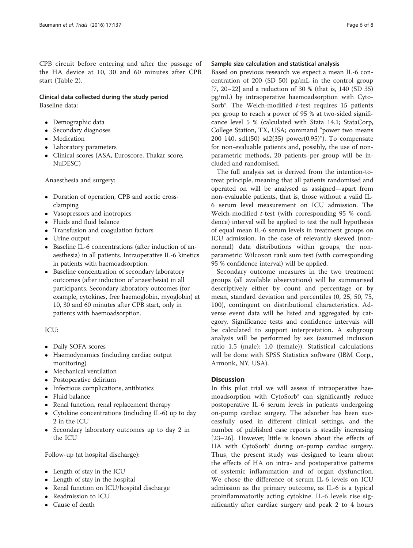CPB circuit before entering and after the passage of the HA device at 10, 30 and 60 minutes after CPB start (Table [2](#page-4-0)).

#### Clinical data collected during the study period Baseline data:

- Demographic data
- Secondary diagnoses
- Medication
- Laboratory parameters
- Clinical scores (ASA, Euroscore, Thakar score, NuDESC)

Anaesthesia and surgery:

- Duration of operation, CPB and aortic crossclamping
- Vasopressors and inotropics
- Fluids and fluid balance
- Transfusion and coagulation factors
- Urine output
- Baseline IL-6 concentrations (after induction of anaesthesia) in all patients. Intraoperative IL-6 kinetics in patients with haemoadsorption.
- Baseline concentration of secondary laboratory outcomes (after induction of anaesthesia) in all participants. Secondary laboratory outcomes (for example, cytokines, free haemoglobin, myoglobin) at 10, 30 and 60 minutes after CPB start, only in patients with haemoadsorption.

#### ICU:

- Daily SOFA scores
- Haemodynamics (including cardiac output monitoring)
- Mechanical ventilation
- Postoperative delirium
- Infectious complications, antibiotics
- Fluid balance
- Renal function, renal replacement therapy
- Cytokine concentrations (including IL-6) up to day 2 in the ICU
- Secondary laboratory outcomes up to day 2 in the ICU

Follow-up (at hospital discharge):

- Length of stay in the ICU
- Length of stay in the hospital
- Renal function on ICU/hospital discharge
- Readmission to ICU
- Cause of death

#### Sample size calculation and statistical analysis

Based on previous research we expect a mean IL-6 concentration of 200 (SD 50) pg/mL in the control group [[7, 20](#page-7-0)–[22\]](#page-7-0) and a reduction of 30 % (that is, 140 (SD 35) pg/mL) by intraoperative haemoadsorption with Cyto-Sorb $^{\circ}$ . The Welch-modified *t*-test requires 15 patients per group to reach a power of 95 % at two-sided significance level 5 % (calculated with Stata 14.1; StataCorp, College Station, TX, USA; command "power two means 200 140, sd1(50) sd2(35) power(0.95)"). To compensate for non-evaluable patients and, possibly, the use of nonparametric methods, 20 patients per group will be included and randomised.

The full analysis set is derived from the intention-totreat principle, meaning that all patients randomised and operated on will be analysed as assigned—apart from non-evaluable patients, that is, those without a valid IL-6 serum level measurement on ICU admission. The Welch-modified t-test (with corresponding 95 % confidence) interval will be applied to test the null hypothesis of equal mean IL-6 serum levels in treatment groups on ICU admission. In the case of relevantly skewed (nonnormal) data distributions within groups, the nonparametric Wilcoxon rank sum test (with corresponding 95 % confidence interval) will be applied.

Secondary outcome measures in the two treatment groups (all available observations) will be summarised descriptively either by count and percentage or by mean, standard deviation and percentiles (0, 25, 50, 75, 100), contingent on distributional characteristics. Adverse event data will be listed and aggregated by category. Significance tests and confidence intervals will be calculated to support interpretation. A subgroup analysis will be performed by sex (assumed inclusion ratio 1.5 (male): 1.0 (female)). Statistical calculations will be done with SPSS Statistics software (IBM Corp., Armonk, NY, USA).

#### **Discussion**

In this pilot trial we will assess if intraoperative haemoadsorption with CytoSorb® can significantly reduce postoperative IL-6 serum levels in patients undergoing on-pump cardiac surgery. The adsorber has been successfully used in different clinical settings, and the number of published case reports is steadily increasing [[23](#page-7-0)–[26](#page-7-0)]. However, little is known about the effects of HA with CytoSorb® during on-pump cardiac surgery. Thus, the present study was designed to learn about the effects of HA on intra- and postoperative patterns of systemic inflammation and of organ dysfunction. We chose the difference of serum IL-6 levels on ICU admission as the primary outcome, as IL-6 is a typical proinflammatorily acting cytokine. IL-6 levels rise significantly after cardiac surgery and peak 2 to 4 hours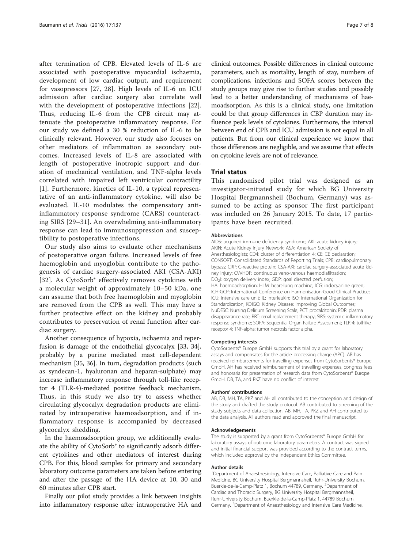after termination of CPB. Elevated levels of IL-6 are associated with postoperative myocardial ischaemia, development of low cardiac output, and requirement for vasopressors [[27, 28](#page-7-0)]. High levels of IL-6 on ICU admission after cardiac surgery also correlate well with the development of postoperative infections [\[22](#page-7-0)]. Thus, reducing IL-6 from the CPB circuit may attenuate the postoperative inflammatory response. For our study we defined a 30 % reduction of IL-6 to be clinically relevant. However, our study also focuses on other mediators of inflammation as secondary outcomes. Increased levels of IL-8 are associated with length of postoperative inotropic support and duration of mechanical ventilation, and TNF-alpha levels correlated with impaired left ventricular contractility [[1\]](#page-7-0). Furthermore, kinetics of IL-10, a typical representative of an anti-inflammatory cytokine, will also be evaluated. IL-10 modulates the compensatory antiinflammatory response syndrome (CARS) counteracting SIRS [\[29](#page-7-0)–[31](#page-7-0)]. An overwhelming anti-inflammatory response can lead to immunosuppression and susceptibility to postoperative infections.

Our study also aims to evaluate other mechanisms of postoperative organ failure. Increased levels of free haemoglobin and myoglobin contribute to the pathogenesis of cardiac surgery-associated AKI (CSA-AKI) [[32](#page-7-0)]. As CytoSorb® effectively removes cytokines with a molecular weight of approximately 10–50 kDa, one can assume that both free haemoglobin and myoglobin are removed from the CPB as well. This may have a further protective effect on the kidney and probably contributes to preservation of renal function after cardiac surgery.

Another consequence of hypoxia, ischaemia and reperfusion is damage of the endothelial glycocalyx [\[33](#page-7-0), [34](#page-7-0)], probably by a purine mediated mast cell-dependent mechanism [[35, 36\]](#page-7-0). In turn, degradation products (such as syndecan-1, hyaluronan and heparan-sulphate) may increase inflammatory response through toll-like receptor 4 (TLR-4)-mediated positive feedback mechanism. Thus, in this study we also try to assess whether circulating glycocalyx degradation products are eliminated by intraoperative haemoadsorption, and if inflammatory response is accompanied by decreased glycocalyx shedding.

In the haemoadsorption group, we additionally evaluate the ability of CytoSorb® to significantly adsorb different cytokines and other mediators of interest during CPB. For this, blood samples for primary and secondary laboratory outcome parameters are taken before entering and after the passage of the HA device at 10, 30 and 60 minutes after CPB start.

Finally our pilot study provides a link between insights into inflammatory response after intraoperative HA and clinical outcomes. Possible differences in clinical outcome parameters, such as mortality, length of stay, numbers of complications, infections and SOFA scores between the study groups may give rise to further studies and possibly lead to a better understanding of mechanisms of haemoadsorption. As this is a clinical study, one limitation could be that group differences in CBP duration may influence peak levels of cytokines. Furthermore, the interval between end of CPB and ICU admission is not equal in all patients. But from our clinical experience we know that those differences are negligible, and we assume that effects on cytokine levels are not of relevance.

#### Trial status

This randomised pilot trial was designed as an investigator-initiated study for which BG University Hospital Bergmannsheil (Bochum, Germany) was assumed to be acting as sponsor The first participant was included on 26 January 2015. To date, 17 participants have been recruited.

#### Abbreviations

AIDS: acquired immune deficiency syndrome; AKI: acute kidney injury; AKIN: Acute Kidney Injury Network; ASA: American Society of Anesthesiologists; CD4: cluster of differentiation 4; CE: CE declaration; CONSORT: Consolidated Standards of Reporting Trials; CPB: cardiopulmonary bypass; CRP: C-reactive protein; CSA-AKI: cardiac surgery-associated acute kidney injury; CVVHDF: continuous veno-venous haemodiafiltration; DO<sub>2</sub>I: oxygen delivery index; GDP: goal directed perfusion; HA: haemoadsorption; HLM: heart-lung machine; ICG: indocyanine green; ICH-GCP: International Conference on Harmonisation-Good Clinical Practice; ICU: intensive care unit; IL: interleukin; ISO: International Organization for Standardization; KDIGO: Kidney Disease: Improving Global Outcomes; NuDESC: Nursing Delirium Screening Scale; PCT: procalcitonin; PDR: plasma disappearance rate; RRT: renal replacement therapy; SIRS: systemic inflammatory response syndrome; SOFA: Sequential Organ Failure Assessment; TLR-4: toll-like receptor 4; TNF-alpha: tumor necrosis factor alpha.

#### Competing interests

CytoSorbents® Europe GmbH supports this trial by a grant for laboratory assays and compensates for the article processing charge (APC). AB has received reimbursements for travelling expenses from CytoSorbents® Europe GmbH. AH has received reimbursement of travelling expenses, congress fees and honoraria for presentation of research data from CytoSorbents® Europe GmbH. DB, TA, and PKZ have no conflict of interest.

#### Authors' contributions

AB, DB, MH, TA, PKZ and AH all contributed to the conception and design of the study and drafted the study protocol. AB contributed to screening of the study subjects and data collection. AB, MH, TA, PKZ and AH contributed to the data analysis. All authors read and approved the final manuscript.

#### Acknowledgements

The study is supported by a grant from CytoSorbents® Europe GmbH for laboratory assays of outcome laboratory parameters. A contract was signed and initial financial support was provided according to the contract terms, which included approval by the Independent Ethics Committee.

#### Author details

<sup>1</sup>Department of Anaesthesiology, Intensive Care, Palliative Care and Pain Medicine, BG University Hospital Bergmannsheil, Ruhr-University Bochum, Buerkle-de-la-Camp-Platz 1, Bochum 44789, Germany. <sup>2</sup>Department of Cardiac and Thoracic Surgery, BG University Hospital Bergmannsheil, Ruhr-University Bochum, Buerkle-de-la-Camp-Platz 1, 44789 Bochum, Germany. <sup>3</sup>Department of Anaesthesiology and Intensive Care Medicine,